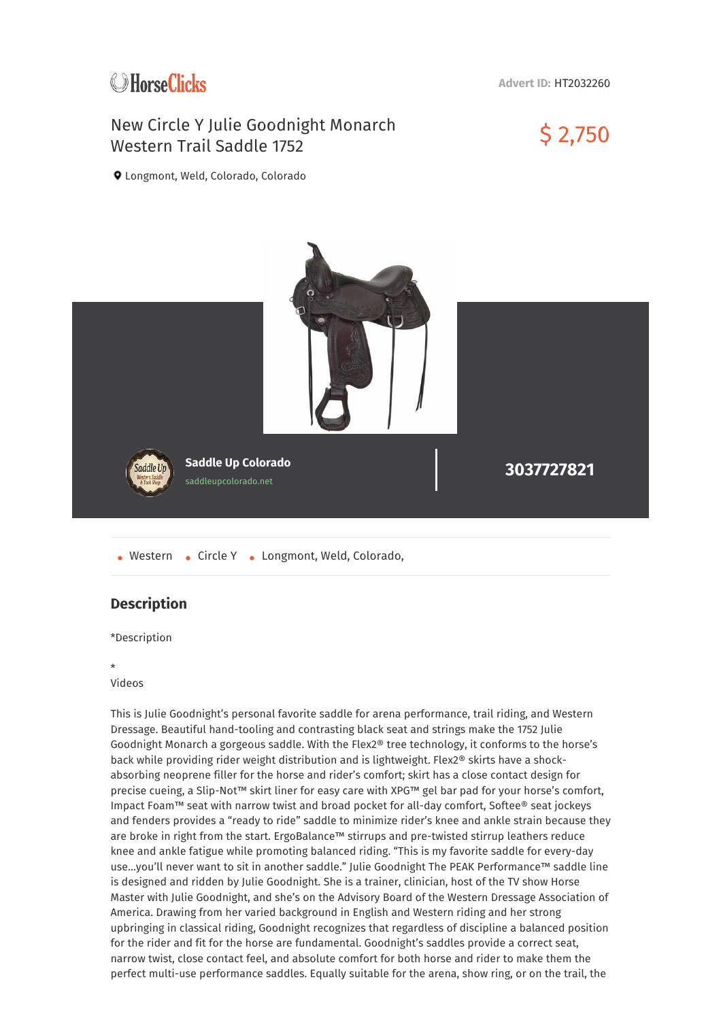

**Advert ID:** HT2032260

## New Circle Y Julie Goodnight Monarch New Circle Y Julie Goodnight Monarch<br>Western Trail Saddle 1752

Longmont, Weld, Colorado, Colorado



• Western • Circle Y • Longmont, Weld, Colorado,

## **Description**

\*Description

\*

## Videos

This is Julie Goodnight's personal favorite saddle for arena performance, trail riding, and Western Dressage. Beautiful hand-tooling and contrasting black seat and strings make the 1752 Julie Goodnight Monarch a gorgeous saddle. With the Flex2® tree technology, it conforms to the horse's back while providing rider weight distribution and is lightweight. Flex2® skirts have a shockabsorbing neoprene filler for the horse and rider's comfort; skirt has a close contact design for precise cueing, a Slip-Not™ skirt liner for easy care with XPG™ gel bar pad for your horse's comfort, Impact Foam™ seat with narrow twist and broad pocket for all-day comfort, Softee® seat jockeys and fenders provides a "ready to ride" saddle to minimize rider's knee and ankle strain because they are broke in right from the start. ErgoBalance™ stirrups and pre-twisted stirrup leathers reduce knee and ankle fatigue while promoting balanced riding. "This is my favorite saddle for every-day use…you'll never want to sit in another saddle." Julie Goodnight The PEAK Performance™ saddle line is designed and ridden by Julie Goodnight. She is a trainer, clinician, host of the TV show Horse Master with Julie Goodnight, and she's on the Advisory Board of the Western Dressage Association of America. Drawing from her varied background in English and Western riding and her strong upbringing in classical riding, Goodnight recognizes that regardless of discipline a balanced position for the rider and fit for the horse are fundamental. Goodnight's saddles provide a correct seat, narrow twist, close contact feel, and absolute comfort for both horse and rider to make them the perfect multi-use performance saddles. Equally suitable for the arena, show ring, or on the trail, the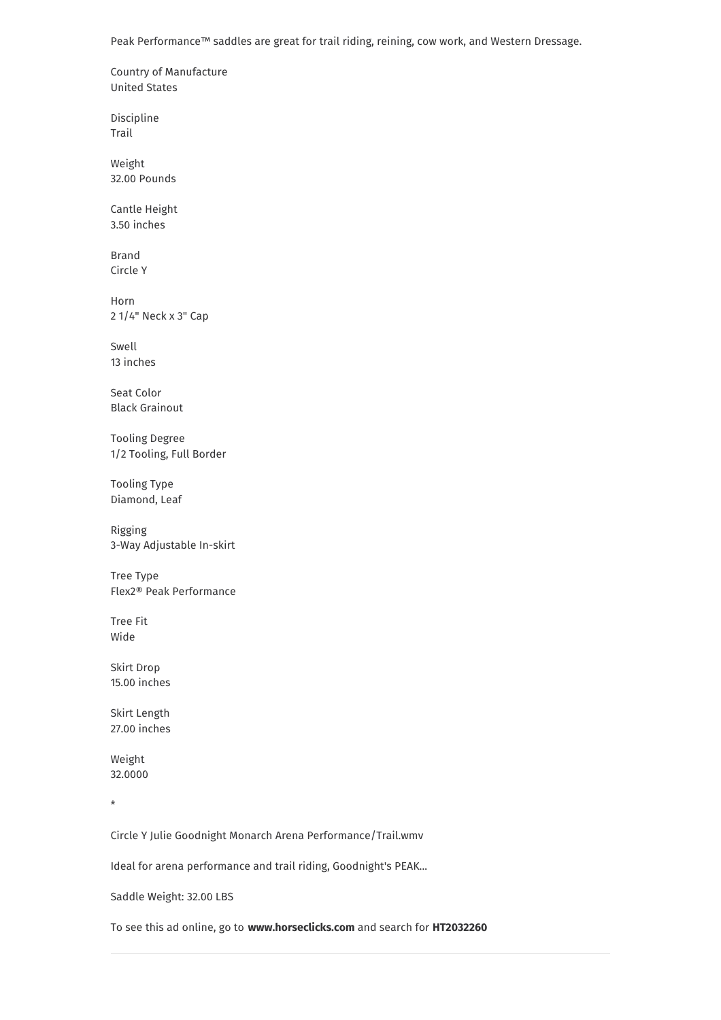Peak Performance™ saddles are great for trail riding, reining, cow work, and Western Dressage.

Country of Manufacture United States

Discipline Trail

Weight 32.00 Pounds

Cantle Height 3.50 inches

Brand Circle Y

Horn 2 1/4" Neck x 3" Cap

Swell 13 inches

Seat Color Black Grainout

Tooling Degree 1/2 Tooling, Full Border

Tooling Type Diamond, Leaf

Rigging 3-Way Adjustable In-skirt

Tree Type Flex2® Peak Performance

Tree Fit Wide

Skirt Drop 15.00 inches

Skirt Length 27.00 inches

Weight 32.0000

\*

Circle Y Julie Goodnight Monarch Arena Performance/Trail.wmv

Ideal for arena performance and trail riding, Goodnight's PEAK...

Saddle Weight: 32.00 LBS

To see this ad online, go to **www.horseclicks.com** and search for **HT2032260**